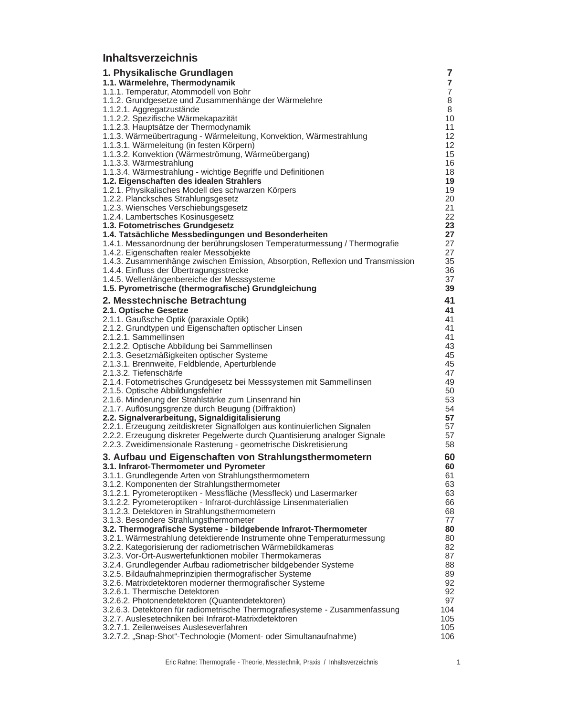## **Inhaltsverzeichnis**

| 1. Physikalische Grundlagen                                                                                                                    | 7                   |
|------------------------------------------------------------------------------------------------------------------------------------------------|---------------------|
| 1.1. Wärmelehre, Thermodynamik                                                                                                                 | $\overline{7}$      |
| 1.1.1. Temperatur, Atommodell von Bohr<br>1.1.2. Grundgesetze und Zusammenhänge der Wärmelehre                                                 | $\overline{7}$<br>8 |
| 1.1.2.1. Aggregatzustände                                                                                                                      | 8                   |
| 1.1.2.2. Spezifische Wärmekapazität                                                                                                            | 10                  |
| 1.1.2.3. Hauptsätze der Thermodynamik                                                                                                          | 11                  |
| 1.1.3. Wärmeübertragung - Wärmeleitung, Konvektion, Wärmestrahlung                                                                             | 12<br>12            |
| 1.1.3.1. Wärmeleitung (in festen Körpern)<br>1.1.3.2. Konvektion (Wärmeströmung, Wärmeübergang)                                                | 15                  |
| 1.1.3.3. Wärmestrahlung                                                                                                                        | 16                  |
| 1.1.3.4. Wärmestrahlung - wichtige Begriffe und Definitionen                                                                                   | 18                  |
| 1.2. Eigenschaften des idealen Strahlers                                                                                                       | 19                  |
| 1.2.1. Physikalisches Modell des schwarzen Körpers                                                                                             | 19<br>20            |
| 1.2.2. Plancksches Strahlungsgesetz<br>1.2.3. Wiensches Verschiebungsgesetz                                                                    | 21                  |
| 1.2.4. Lambertsches Kosinusgesetz                                                                                                              | 22                  |
| 1.3. Fotometrisches Grundgesetz                                                                                                                | 23                  |
| 1.4. Tatsächliche Messbedingungen und Besonderheiten                                                                                           | 27                  |
| 1.4.1. Messanordnung der berührungslosen Temperaturmessung / Thermografie                                                                      | 27                  |
| 1.4.2. Eigenschaften realer Messobjekte<br>1.4.3. Zusammenhänge zwischen Emission, Absorption, Reflexion und Transmission                      | 27<br>35            |
| 1.4.4. Einfluss der Übertragungsstrecke                                                                                                        | 36                  |
| 1.4.5. Wellenlängenbereiche der Messsysteme                                                                                                    | 37                  |
| 1.5. Pyrometrische (thermografische) Grundgleichung                                                                                            | 39                  |
| 2. Messtechnische Betrachtung                                                                                                                  | 41                  |
| 2.1. Optische Gesetze                                                                                                                          | 41                  |
| 2.1.1. Gaußsche Optik (paraxiale Optik)                                                                                                        | 41                  |
| 2.1.2. Grundtypen und Eigenschaften optischer Linsen<br>2.1.2.1. Sammellinsen                                                                  | 41<br>41            |
| 2.1.2.2. Optische Abbildung bei Sammellinsen                                                                                                   | 43                  |
| 2.1.3. Gesetzmäßigkeiten optischer Systeme                                                                                                     | 45                  |
| 2.1.3.1. Brennweite, Feldblende, Aperturblende                                                                                                 | 45                  |
| 2.1.3.2. Tiefenschärfe                                                                                                                         | 47                  |
| 2.1.4. Fotometrisches Grundgesetz bei Messsystemen mit Sammellinsen<br>2.1.5. Optische Abbildungsfehler                                        | 49<br>50            |
| 2.1.6. Minderung der Strahlstärke zum Linsenrand hin                                                                                           | 53                  |
| 2.1.7. Auflösungsgrenze durch Beugung (Diffraktion)                                                                                            | 54                  |
| 2.2. Signalverarbeitung, Signaldigitalisierung                                                                                                 | 57                  |
| 2.2.1. Erzeugung zeitdiskreter Signalfolgen aus kontinuierlichen Signalen                                                                      | 57                  |
| 2.2.2. Erzeugung diskreter Pegelwerte durch Quantisierung analoger Signale<br>2.2.3. Zweidimensionale Rasterung - geometrische Diskretisierung | 57<br>58            |
|                                                                                                                                                |                     |
| 3. Aufbau und Eigenschaften von Strahlungsthermometern<br>3.1. Infrarot-Thermometer und Pyrometer                                              | 60<br>60            |
| 3.1.1. Grundlegende Arten von Strahlungsthermometern                                                                                           | 61                  |
| 3.1.2. Komponenten der Strahlungsthermometer                                                                                                   | 63                  |
| 3.1.2.1. Pyrometeroptiken - Messfläche (Messfleck) und Lasermarker                                                                             | 63                  |
| 3.1.2.2. Pyrometeroptiken - Infrarot-durchlässige Linsenmaterialien                                                                            | 66                  |
| 3.1.2.3. Detektoren in Strahlungsthermometern<br>3.1.3. Besondere Strahlungsthermometer                                                        | 68<br>77            |
| 3.2. Thermografische Systeme - bildgebende Infrarot-Thermometer                                                                                | 80                  |
| 3.2.1. Wärmestrahlung detektierende Instrumente ohne Temperaturmessung                                                                         | 80                  |
| 3.2.2. Kategorisierung der radiometrischen Wärmebildkameras                                                                                    | 82                  |
| 3.2.3. Vor-Ort-Auswertefunktionen mobiler Thermokameras                                                                                        | 87                  |
| 3.2.4. Grundlegender Aufbau radiometrischer bildgebender Systeme<br>3.2.5. Bildaufnahmeprinzipien thermografischer Systeme                     | 88<br>89            |
| 3.2.6. Matrixdetektoren moderner thermografischer Systeme                                                                                      | 92                  |
| 3.2.6.1. Thermische Detektoren                                                                                                                 | 92                  |
| 3.2.6.2. Photonendetektoren (Quantendetektoren)                                                                                                | 97                  |
| 3.2.6.3. Detektoren für radiometrische Thermografiesysteme - Zusammenfassung                                                                   | 104                 |
| 3.2.7. Auslesetechniken bei Infrarot-Matrixdetektoren<br>3.2.7.1. Zeilenweises Ausleseverfahren                                                | 105<br>105          |
| 3.2.7.2. "Snap-Shot"-Technologie (Moment- oder Simultanaufnahme)                                                                               | 106                 |
|                                                                                                                                                |                     |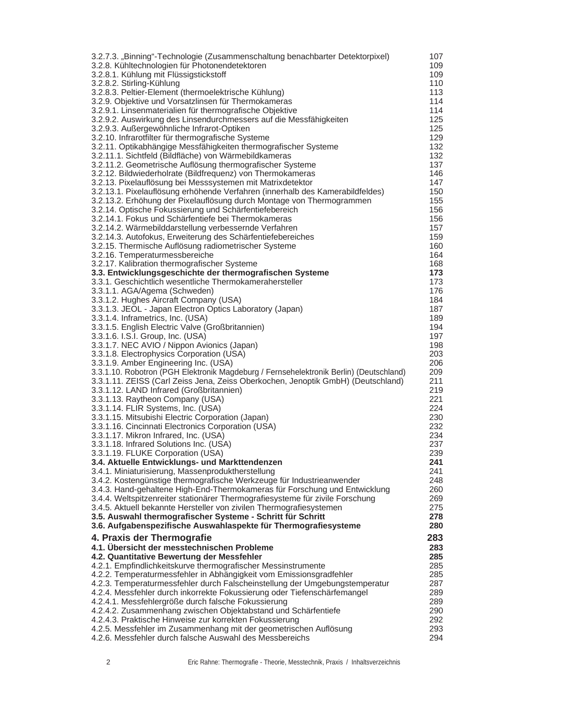| 3.2.7.3. "Binning"-Technologie (Zusammenschaltung benachbarter Detektorpixel)          | 107        |
|----------------------------------------------------------------------------------------|------------|
| 3.2.8. Kühltechnologien für Photonendetektoren                                         | 109        |
| 3.2.8.1. Kühlung mit Flüssigstickstoff                                                 | 109        |
| 3.2.8.2. Stirling-Kühlung                                                              | 110        |
| 3.2.8.3. Peltier-Element (thermoelektrische Kühlung)                                   | 113        |
| 3.2.9. Objektive und Vorsatzlinsen für Thermokameras                                   | 114        |
| 3.2.9.1. Linsenmaterialien für thermografische Objektive                               | 114        |
| 3.2.9.2. Auswirkung des Linsendurchmessers auf die Messfähigkeiten                     | 125        |
| 3.2.9.3. Außergewöhnliche Infrarot-Optiken                                             | 125        |
| 3.2.10. Infrarotfilter für thermografische Systeme                                     | 129        |
| 3.2.11. Optikabhängige Messfähigkeiten thermografischer Systeme                        | 132        |
| 3.2.11.1. Sichtfeld (Bildfläche) von Wärmebildkameras                                  | 132        |
| 3.2.11.2. Geometrische Auflösung thermografischer Systeme                              | 137        |
| 3.2.12. Bildwiederholrate (Bildfrequenz) von Thermokameras                             | 146        |
| 3.2.13. Pixelauflösung bei Messsystemen mit Matrixdetektor                             | 147        |
| 3.2.13.1. Pixelauflösung erhöhende Verfahren (innerhalb des Kamerabildfeldes)          | 150        |
| 3.2.13.2. Erhöhung der Pixelauflösung durch Montage von Thermogrammen                  | 155        |
| 3.2.14. Optische Fokussierung und Schärfentiefebereich                                 | 156        |
| 3.2.14.1. Fokus und Schärfentiefe bei Thermokameras                                    | 156        |
| 3.2.14.2. Wärmebilddarstellung verbessernde Verfahren                                  | 157        |
| 3.2.14.3. Autofokus, Erweiterung des Schärfentiefebereiches                            | 159        |
| 3.2.15. Thermische Auflösung radiometrischer Systeme                                   | 160        |
| 3.2.16. Temperaturmessbereiche<br>3.2.17. Kalibration thermografischer Systeme         | 164        |
| 3.3. Entwicklungsgeschichte der thermografischen Systeme                               | 168<br>173 |
| 3.3.1. Geschichtlich wesentliche Thermokamerahersteller                                | 173        |
| 3.3.1.1. AGA/Agema (Schweden)                                                          | 176        |
| 3.3.1.2. Hughes Aircraft Company (USA)                                                 | 184        |
| 3.3.1.3. JEOL - Japan Electron Optics Laboratory (Japan)                               | 187        |
| 3.3.1.4. Inframetrics, Inc. (USA)                                                      | 189        |
| 3.3.1.5. English Electric Valve (Großbritannien)                                       | 194        |
| 3.3.1.6. I.S.I. Group, Inc. (USA)                                                      | 197        |
| 3.3.1.7. NEC AVIO / Nippon Avionics (Japan)                                            | 198        |
| 3.3.1.8. Electrophysics Corporation (USA)                                              | 203        |
| 3.3.1.9. Amber Engineering Inc. (USA)                                                  | 206        |
| 3.3.1.10. Robotron (PGH Elektronik Magdeburg / Fernsehelektronik Berlin) (Deutschland) | 209        |
| 3.3.1.11. ZEISS (Carl Zeiss Jena, Zeiss Oberkochen, Jenoptik GmbH) (Deutschland)       | 211        |
| 3.3.1.12. LAND Infrared (Großbritannien)                                               | 219        |
| 3.3.1.13. Raytheon Company (USA)                                                       | 221        |
| 3.3.1.14. FLIR Systems, Inc. (USA)                                                     | 224        |
| 3.3.1.15. Mitsubishi Electric Corporation (Japan)                                      | 230        |
| 3.3.1.16. Cincinnati Electronics Corporation (USA)                                     | 232        |
| 3.3.1.17. Mikron Infrared, Inc. (USA)                                                  | 234        |
| 3.3.1.18. Infrared Solutions Inc. (USA)                                                | 237        |
| 3.3.1.19. FLUKE Corporation (USA)<br>3.4. Aktuelle Entwicklungs- und Markttendenzen    | 239<br>241 |
| 3.4.1. Miniaturisierung, Massenproduktherstellung                                      | 241        |
| 3.4.2. Kostengünstige thermografische Werkzeuge für Industrieanwender                  | 248        |
| 3.4.3. Hand-gehaltene High-End-Thermokameras für Forschung und Entwicklung             | 260        |
| 3.4.4. Weltspitzenreiter stationärer Thermografiesysteme für zivile Forschung          | 269        |
| 3.4.5. Aktuell bekannte Hersteller von zivilen Thermografiesystemen                    | 275        |
| 3.5. Auswahl thermografischer Systeme - Schritt für Schritt                            | 278        |
| 3.6. Aufgabenspezifische Auswahlaspekte für Thermografiesysteme                        | 280        |
| 4. Praxis der Thermografie                                                             | 283        |
| 4.1. Übersicht der messtechnischen Probleme                                            | 283        |
| 4.2. Quantitative Bewertung der Messfehler                                             | 285        |
| 4.2.1. Empfindlichkeitskurve thermografischer Messinstrumente                          | 285        |
| 4.2.2. Temperaturmessfehler in Abhängigkeit vom Emissionsgradfehler                    | 285        |
| 4.2.3. Temperaturmessfehler durch Falscheinstellung der Umgebungstemperatur            | 287        |
| 4.2.4. Messfehler durch inkorrekte Fokussierung oder Tiefenschärfemangel               | 289        |
| 4.2.4.1. Messfehlergröße durch falsche Fokussierung                                    | 289        |
| 4.2.4.2. Zusammenhang zwischen Objektabstand und Schärfentiefe                         | 290        |
| 4.2.4.3. Praktische Hinweise zur korrekten Fokussierung                                | 292        |
| 4.2.5. Messfehler im Zusammenhang mit der geometrischen Auflösung                      | 293        |
| 4.2.6. Messfehler durch falsche Auswahl des Messbereichs                               | 294        |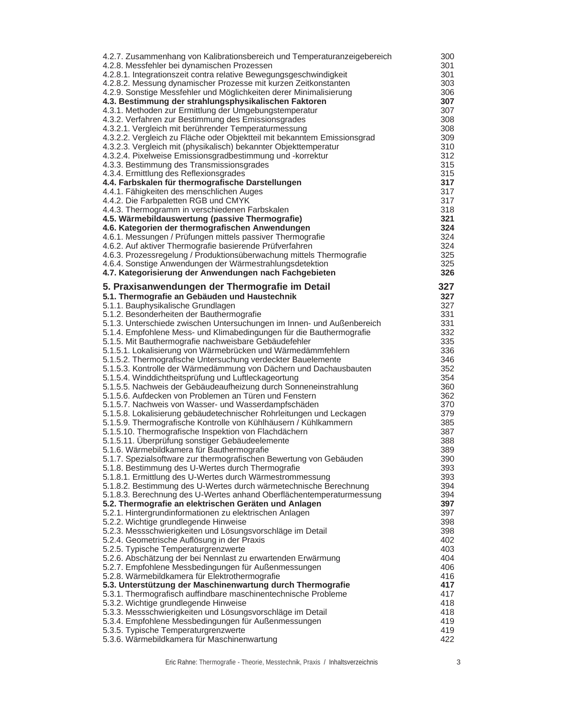| 4.2.7. Zusammenhang von Kalibrationsbereich und Temperaturanzeigebereich                                                 | 300        |
|--------------------------------------------------------------------------------------------------------------------------|------------|
| 4.2.8. Messfehler bei dynamischen Prozessen                                                                              | 301        |
| 4.2.8.1. Integrationszeit contra relative Bewegungsgeschwindigkeit                                                       | 301        |
| 4.2.8.2. Messung dynamischer Prozesse mit kurzen Zeitkonstanten                                                          | 303        |
| 4.2.9. Sonstige Messfehler und Möglichkeiten derer Minimalisierung                                                       | 306        |
| 4.3. Bestimmung der strahlungsphysikalischen Faktoren                                                                    | 307        |
| 4.3.1. Methoden zur Ermittlung der Umgebungstemperatur                                                                   | 307        |
| 4.3.2. Verfahren zur Bestimmung des Emissionsgrades                                                                      | 308        |
| 4.3.2.1. Vergleich mit berührender Temperaturmessung                                                                     | 308        |
| 4.3.2.2. Vergleich zu Fläche oder Objektteil mit bekanntem Emissionsgrad                                                 | 309        |
| 4.3.2.3. Vergleich mit (physikalisch) bekannter Objekttemperatur                                                         | 310        |
| 4.3.2.4. Pixelweise Emissionsgradbestimmung und -korrektur                                                               | 312        |
| 4.3.3. Bestimmung des Transmissionsgrades                                                                                | 315        |
| 4.3.4. Ermittlung des Reflexionsgrades                                                                                   | 315        |
| 4.4. Farbskalen für thermografische Darstellungen                                                                        | 317        |
| 4.4.1. Fähigkeiten des menschlichen Auges                                                                                | 317        |
| 4.4.2. Die Farbpaletten RGB und CMYK                                                                                     | 317        |
| 4.4.3. Thermogramm in verschiedenen Farbskalen                                                                           | 318<br>321 |
| 4.5. Wärmebildauswertung (passive Thermografie)                                                                          | 324        |
| 4.6. Kategorien der thermografischen Anwendungen<br>4.6.1. Messungen / Prüfungen mittels passiver Thermografie           | 324        |
| 4.6.2. Auf aktiver Thermografie basierende Prüfverfahren                                                                 | 324        |
| 4.6.3. Prozessregelung / Produktionsüberwachung mittels Thermografie                                                     | 325        |
| 4.6.4. Sonstige Anwendungen der Wärmestrahlungsdetektion                                                                 | 325        |
| 4.7. Kategorisierung der Anwendungen nach Fachgebieten                                                                   | 326        |
|                                                                                                                          |            |
| 5. Praxisanwendungen der Thermografie im Detail                                                                          | 327        |
| 5.1. Thermografie an Gebäuden und Haustechnik                                                                            | 327        |
| 5.1.1. Bauphysikalische Grundlagen                                                                                       | 327        |
| 5.1.2. Besonderheiten der Bauthermografie                                                                                | 331        |
| 5.1.3. Unterschiede zwischen Untersuchungen im Innen- und Außenbereich                                                   | 331        |
| 5.1.4. Empfohlene Mess- und Klimabedingungen für die Bauthermografie                                                     | 332        |
| 5.1.5. Mit Bauthermografie nachweisbare Gebäudefehler                                                                    | 335        |
| 5.1.5.1. Lokalisierung von Wärmebrücken und Wärmedämmfehlern                                                             | 336        |
| 5.1.5.2. Thermografische Untersuchung verdeckter Bauelemente                                                             | 346        |
| 5.1.5.3. Kontrolle der Wärmedämmung von Dächern und Dachausbauten                                                        | 352        |
| 5.1.5.4. Winddichtheitsprüfung und Luftleckageortung<br>5.1.5.5. Nachweis der Gebäudeaufheizung durch Sonneneinstrahlung | 354<br>360 |
| 5.1.5.6. Aufdecken von Problemen an Türen und Fenstern                                                                   | 362        |
| 5.1.5.7. Nachweis von Wasser- und Wasserdampfschäden                                                                     | 370        |
| 5.1.5.8. Lokalisierung gebäudetechnischer Rohrleitungen und Leckagen                                                     | 379        |
| 5.1.5.9. Thermografische Kontrolle von Kühlhäusern / Kühlkammern                                                         | 385        |
| 5.1.5.10. Thermografische Inspektion von Flachdächern                                                                    | 387        |
| 5.1.5.11. Überprüfung sonstiger Gebäudeelemente                                                                          | 388        |
| 5.1.6. Wärmebildkamera für Bauthermografie                                                                               | 389        |
| 5.1.7. Spezialsoftware zur thermografischen Bewertung von Gebäuden                                                       | 390        |
| 5.1.8. Bestimmung des U-Wertes durch Thermografie                                                                        | 393        |
| 5.1.8.1. Ermittlung des U-Wertes durch Wärmestrommessung                                                                 | 393        |
| 5.1.8.2. Bestimmung des U-Wertes durch wärmetechnische Berechnung                                                        | 394        |
| 5.1.8.3. Berechnung des U-Wertes anhand Oberflächentemperaturmessung                                                     | 394        |
| 5.2. Thermografie an elektrischen Geräten und Anlagen                                                                    | 397        |
| 5.2.1. Hintergrundinformationen zu elektrischen Anlagen                                                                  | 397        |
| 5.2.2. Wichtige grundlegende Hinweise                                                                                    | 398        |
| 5.2.3. Messschwierigkeiten und Lösungsvorschläge im Detail                                                               | 398        |
| 5.2.4. Geometrische Auflösung in der Praxis                                                                              | 402        |
| 5.2.5. Typische Temperaturgrenzwerte                                                                                     | 403        |
| 5.2.6. Abschätzung der bei Nennlast zu erwartenden Erwärmung                                                             | 404        |
| 5.2.7. Empfohlene Messbedingungen für Außenmessungen                                                                     | 406        |
| 5.2.8. Wärmebildkamera für Elektrothermografie                                                                           | 416        |
| 5.3. Unterstützung der Maschinenwartung durch Thermografie                                                               | 417        |
| 5.3.1. Thermografisch auffindbare maschinentechnische Probleme                                                           | 417        |
| 5.3.2. Wichtige grundlegende Hinweise                                                                                    | 418        |
| 5.3.3. Messschwierigkeiten und Lösungsvorschläge im Detail                                                               | 418        |
| 5.3.4. Empfohlene Messbedingungen für Außenmessungen                                                                     | 419        |
| 5.3.5. Typische Temperaturgrenzwerte                                                                                     | 419        |
| 5.3.6. Wärmebildkamera für Maschinenwartung                                                                              | 422        |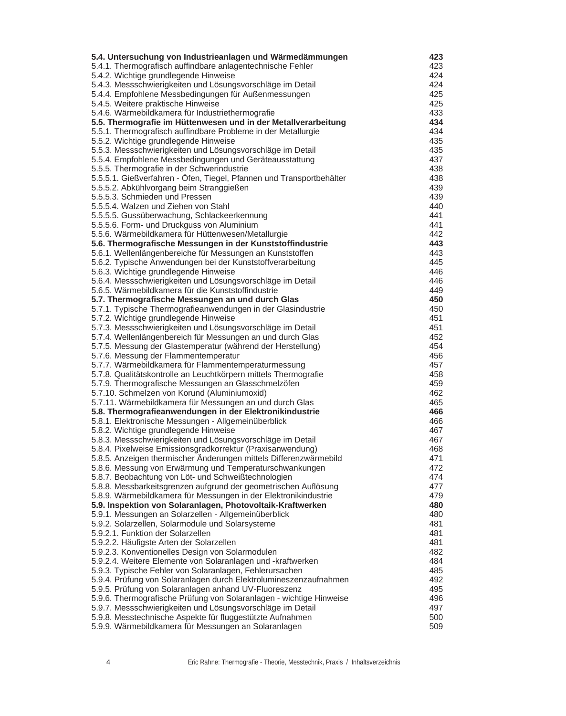| 5.4. Untersuchung von Industrieanlagen und Wärmedämmungen                                                                          | 423        |
|------------------------------------------------------------------------------------------------------------------------------------|------------|
| 5.4.1. Thermografisch auffindbare anlagentechnische Fehler                                                                         | 423        |
| 5.4.2. Wichtige grundlegende Hinweise                                                                                              | 424        |
| 5.4.3. Messschwierigkeiten und Lösungsvorschläge im Detail                                                                         | 424        |
| 5.4.4. Empfohlene Messbedingungen für Außenmessungen<br>5.4.5. Weitere praktische Hinweise                                         | 425<br>425 |
| 5.4.6. Wärmebildkamera für Industriethermografie                                                                                   | 433        |
| 5.5. Thermografie im Hüttenwesen und in der Metallverarbeitung                                                                     | 434        |
| 5.5.1. Thermografisch auffindbare Probleme in der Metallurgie                                                                      | 434        |
| 5.5.2. Wichtige grundlegende Hinweise                                                                                              | 435        |
| 5.5.3. Messschwierigkeiten und Lösungsvorschläge im Detail                                                                         | 435        |
| 5.5.4. Empfohlene Messbedingungen und Geräteausstattung                                                                            | 437        |
| 5.5.5. Thermografie in der Schwerindustrie                                                                                         | 438        |
| 5.5.5.1. Gießverfahren - Öfen, Tiegel, Pfannen und Transportbehälter                                                               | 438        |
| 5.5.5.2. Abkühlvorgang beim Stranggießen                                                                                           | 439        |
| 5.5.5.3. Schmieden und Pressen                                                                                                     | 439        |
| 5.5.5.4. Walzen und Ziehen von Stahl                                                                                               | 440<br>441 |
| 5.5.5.5. Gussüberwachung, Schlackeerkennung<br>5.5.5.6. Form- und Druckguss von Aluminium                                          | 441        |
| 5.5.6. Wärmebildkamera für Hüttenwesen/Metallurgie                                                                                 | 442        |
| 5.6. Thermografische Messungen in der Kunststoffindustrie                                                                          | 443        |
| 5.6.1. Wellenlängenbereiche für Messungen an Kunststoffen                                                                          | 443        |
| 5.6.2. Typische Anwendungen bei der Kunststoffverarbeitung                                                                         | 445        |
| 5.6.3. Wichtige grundlegende Hinweise                                                                                              | 446        |
| 5.6.4. Messschwierigkeiten und Lösungsvorschläge im Detail                                                                         | 446        |
| 5.6.5. Wärmebildkamera für die Kunststoffindustrie                                                                                 | 449        |
| 5.7. Thermografische Messungen an und durch Glas                                                                                   | 450        |
| 5.7.1. Typische Thermografieanwendungen in der Glasindustrie                                                                       | 450        |
| 5.7.2. Wichtige grundlegende Hinweise                                                                                              | 451        |
| 5.7.3. Messschwierigkeiten und Lösungsvorschläge im Detail                                                                         | 451        |
| 5.7.4. Wellenlängenbereich für Messungen an und durch Glas                                                                         | 452        |
| 5.7.5. Messung der Glastemperatur (während der Herstellung)<br>5.7.6. Messung der Flammentemperatur                                | 454<br>456 |
| 5.7.7. Wärmebildkamera für Flammentemperaturmessung                                                                                | 457        |
| 5.7.8. Qualitätskontrolle an Leuchtkörpern mittels Thermografie                                                                    | 458        |
| 5.7.9. Thermografische Messungen an Glasschmelzöfen                                                                                | 459        |
| 5.7.10. Schmelzen von Korund (Aluminiumoxid)                                                                                       | 462        |
| 5.7.11. Wärmebildkamera für Messungen an und durch Glas                                                                            | 465        |
| 5.8. Thermografieanwendungen in der Elektronikindustrie                                                                            | 466        |
| 5.8.1. Elektronische Messungen - Allgemeinüberblick                                                                                | 466        |
| 5.8.2. Wichtige grundlegende Hinweise                                                                                              | 467        |
| 5.8.3. Messschwierigkeiten und Lösungsvorschläge im Detail                                                                         | 467        |
| 5.8.4. Pixelweise Emissionsgradkorrektur (Praxisanwendung)                                                                         | 468        |
| 5.8.5. Anzeigen thermischer Änderungen mittels Differenzwärmebild                                                                  | 471        |
| 5.8.6. Messung von Erwärmung und Temperaturschwankungen                                                                            | 472        |
| 5.8.7. Beobachtung von Löt- und Schweißtechnologien                                                                                | 474        |
| 5.8.8. Messbarkeitsgrenzen aufgrund der geometrischen Auflösung<br>5.8.9. Wärmebildkamera für Messungen in der Elektronikindustrie | 477<br>479 |
| 5.9. Inspektion von Solaranlagen, Photovoltaik-Kraftwerken                                                                         | 480        |
| 5.9.1. Messungen an Solarzellen - Allgemeinüberblick                                                                               | 480        |
| 5.9.2. Solarzellen, Solarmodule und Solarsysteme                                                                                   | 481        |
| 5.9.2.1. Funktion der Solarzellen                                                                                                  | 481        |
| 5.9.2.2. Häufigste Arten der Solarzellen                                                                                           | 481        |
| 5.9.2.3. Konventionelles Design von Solarmodulen                                                                                   | 482        |
| 5.9.2.4. Weitere Elemente von Solaranlagen und -kraftwerken                                                                        | 484        |
| 5.9.3. Typische Fehler von Solaranlagen, Fehlerursachen                                                                            | 485        |
| 5.9.4. Prüfung von Solaranlagen durch Elektrolumineszenzaufnahmen                                                                  | 492        |
| 5.9.5. Prüfung von Solaranlagen anhand UV-Fluoreszenz                                                                              | 495        |
| 5.9.6. Thermografische Prüfung von Solaranlagen - wichtige Hinweise                                                                | 496        |
| 5.9.7. Messschwierigkeiten und Lösungsvorschläge im Detail                                                                         | 497        |
| 5.9.8. Messtechnische Aspekte für fluggestützte Aufnahmen<br>5.9.9. Wärmebildkamera für Messungen an Solaranlagen                  | 500<br>509 |
|                                                                                                                                    |            |